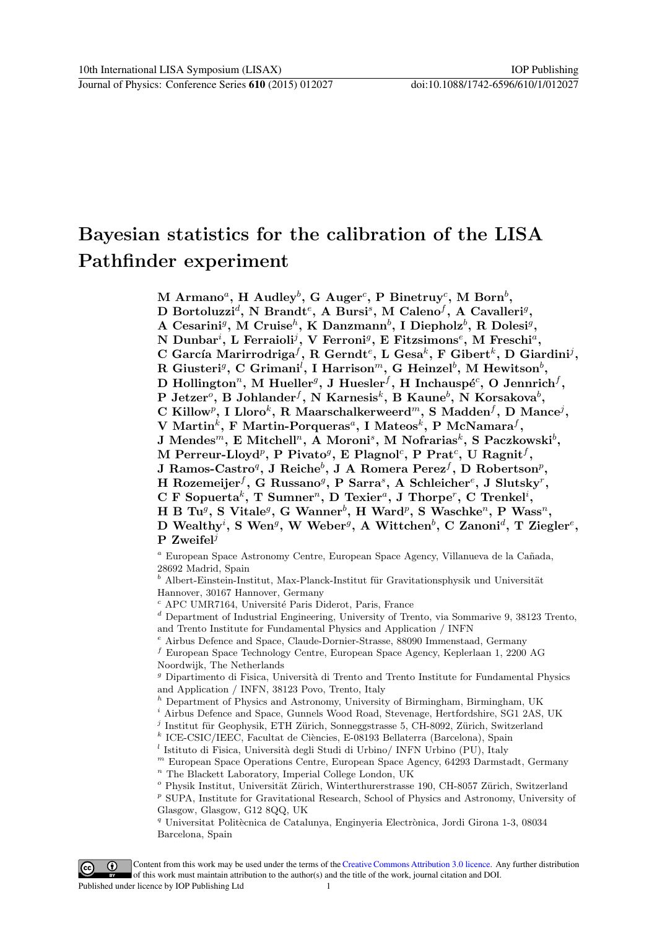# Bayesian statistics for the calibration of the LISA Pathfinder experiment

 $\mathrm{M\text{~Armano}^a,~H\text{~Audley}^b,~G\text{~Auger}^c,~P\text{~Binetruy}^c,~M\text{~Born}^b,}$ D Bortoluzzi<sup>d</sup>, N Brandt<sup>e</sup>, A Bursi<sup>s</sup>, M Caleno<sup>f</sup>, A Cavalleri<sup>g</sup>, A Cesarini<sup>g</sup>, M Cruise<sup>h</sup>, K Danzmann<sup>b</sup>, I Diepholz<sup>b</sup>, R Dolesi<sup>g</sup>, N Dunbar<sup>i</sup>, L Ferraioli<sup>j</sup>, V Ferroni<sup>g</sup>, E Fitzsimons<sup>e</sup>, M Freschi<sup>a</sup>, C García Marirrodriga $^f$ , R Gerndt $^e$ , L Gesa $^k$ , F Gibert $^k$ , D Giardini<sup>j</sup>, R Giusteri<sup>g</sup>, C Grimani<sup>l</sup>, I Harrison<sup>m</sup>, G Heinzel<sup>b</sup>, M Hewitson<sup>b</sup>, D Hollington", M Hueller $^g,$  J Huesler $^f,$  H Inchauspé $^c,$  O Jennrich $^f,$ P Jetzer $^o$ , B Johlander $^f$ , N Karnesis $^k$ , B Kaune $^b$ , N Korsakova $^b$ ,  $\bf C$  Killow<sup>p</sup>, I Lloro<sup>k</sup>, R Maarschalkerweerd<sup>m</sup>, S Madden<sup>f</sup>, D Mance<sup>j</sup>,  $\rm V~Martin^{k},~F~ Martin\-Porqueras^{a},~I~ Mateos^{k},~P~McNamara^{f},$  $\rm J$  Mendes $^m$ , E Mitchell<sup>n</sup>, A Moroni<sup>s</sup>, M Nofrarias $^k$ , S Paczkowski $^b,$  $\text{M}$  Perreur-Lloyd $^p,$  P $\text{ Pivato}^g,$  E  $\text{Plagnol}^c,$  P $\text{ Prat}^c,$  U  $\text{Ragnit}^f,$ J Ramos-Castro $q$ , J Reiche $^b$ , J A Romera Perez $^f$ , D Robertson $^p$ , H Rozemeijer<sup>f</sup>, G Russano<sup>g</sup>, P Sarra<sup>s</sup>, A Schleicher<sup>e</sup>, J Slutsky<sup>r</sup>,  $C$  F Sopuerta<sup>k</sup>, T Sumner<sup>n</sup>, D Texier<sup>a</sup>, J Thorpe<sup>r</sup>, C Trenkel<sup>i</sup>, H B Tu<sup>g</sup>, S Vitale<sup>g</sup>, G Wanner<sup>b</sup>, H Ward<sup>p</sup>, S Waschke<sup>n</sup>, P Wass<sup>n</sup>, D Wealthy<sup>i</sup>, S Wen<sup>g</sup>, W Weber<sup>g</sup>, A Wittchen<sup>b</sup>, C Zanoni<sup>d</sup>, T Ziegler<sup>e</sup>, P Zweifel<sup>j</sup>

 $^a$  European Space Astronomy Centre, European Space Agency, Villanueva de la Cañada, 28692 Madrid, Spain

 $^{\boldsymbol{b}}$ Albert-Einstein-Institut, Max-Planck-Institut für Gravitationsphysik und Universität Hannover, 30167 Hannover, Germany

 $c$  APC UMR7164, Université Paris Diderot, Paris, France

<sup>d</sup> Department of Industrial Engineering, University of Trento, via Sommarive 9, 38123 Trento, and Trento Institute for Fundamental Physics and Application / INFN

<sup>e</sup> Airbus Defence and Space, Claude-Dornier-Strasse, 88090 Immenstaad, Germany

 $^f$  European Space Technology Centre, European Space Agency, Keplerlaan 1, 2200 AG Noordwijk, The Netherlands

 $g$  Dipartimento di Fisica, Università di Trento and Trento Institute for Fundamental Physics and Application / INFN, 38123 Povo, Trento, Italy

 $^h$  Department of Physics and Astronomy, University of Birmingham, Birmingham, UK

 $^i$  Airbus Defence and Space, Gunnels Wood Road, Stevenage, Hertfordshire, SG1 2AS, UK

 $j$  Institut für Geophysik, ETH Zürich, Sonneggstrasse 5, CH-8092, Zürich, Switzerland

<sup>k</sup> ICE-CSIC/IEEC, Facultat de Ciències, E-08193 Bellaterra (Barcelona), Spain

 $l$  Istituto di Fisica, Università degli Studi di Urbino/ INFN Urbino (PU), Italy

 $<sup>m</sup>$  European Space Operations Centre, European Space Agency, 64293 Darmstadt, Germany</sup>  $n$ <sup>n</sup> The Blackett Laboratory, Imperial College London, UK

 $^o$  Physik Institut, Universität Zürich, Winterthurerstrasse 190, CH-8057 Zürich, Switzerland

 $P$  SUPA, Institute for Gravitational Research, School of Physics and Astronomy, University of Glasgow, Glasgow, G12 8QQ, UK

<sup>q</sup> Universitat Politècnica de Catalunya, Enginyeria Electrònica, Jordi Girona 1-3, 08034 Barcelona, Spain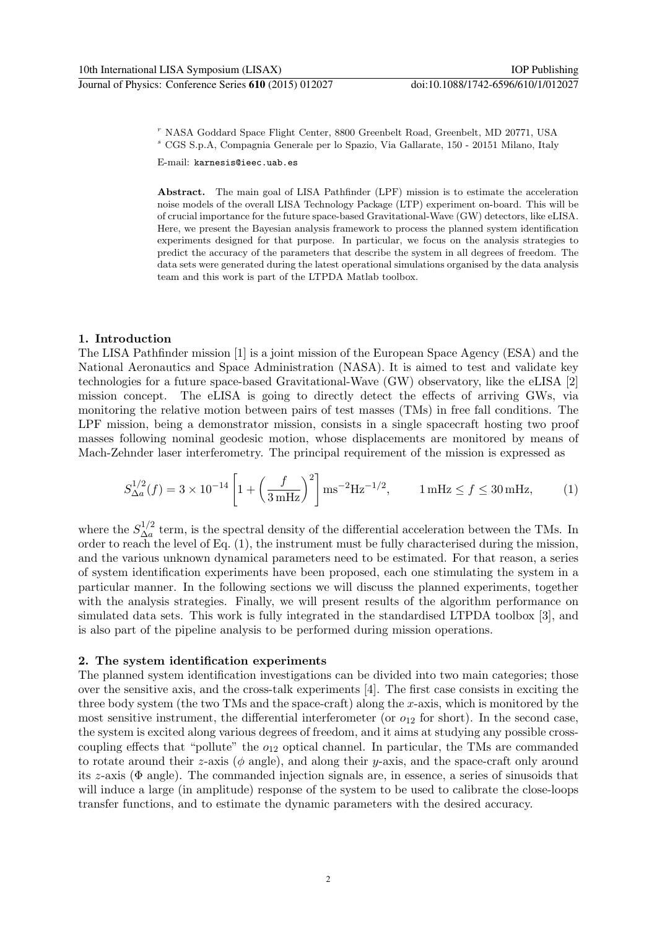<sup>r</sup> NASA Goddard Space Flight Center, 8800 Greenbelt Road, Greenbelt, MD 20771, USA <sup>s</sup> CGS S.p.A, Compagnia Generale per lo Spazio, Via Gallarate, 150 - 20151 Milano, Italy

E-mail: karnesis@ieec.uab.es

Abstract. The main goal of LISA Pathfinder (LPF) mission is to estimate the acceleration noise models of the overall LISA Technology Package (LTP) experiment on-board. This will be of crucial importance for the future space-based Gravitational-Wave (GW) detectors, like eLISA. Here, we present the Bayesian analysis framework to process the planned system identification experiments designed for that purpose. In particular, we focus on the analysis strategies to predict the accuracy of the parameters that describe the system in all degrees of freedom. The data sets were generated during the latest operational simulations organised by the data analysis team and this work is part of the LTPDA Matlab toolbox.

# 1. Introduction

The LISA Pathfinder mission [1] is a joint mission of the European Space Agency (ESA) and the National Aeronautics and Space Administration (NASA). It is aimed to test and validate key technologies for a future space-based Gravitational-Wave (GW) observatory, like the eLISA [2] mission concept. The eLISA is going to directly detect the effects of arriving GWs, via monitoring the relative motion between pairs of test masses (TMs) in free fall conditions. The LPF mission, being a demonstrator mission, consists in a single spacecraft hosting two proof masses following nominal geodesic motion, whose displacements are monitored by means of Mach-Zehnder laser interferometry. The principal requirement of the mission is expressed as

$$
S_{\Delta a}^{1/2}(f) = 3 \times 10^{-14} \left[ 1 + \left( \frac{f}{3 \,\text{mHz}} \right)^2 \right] \text{ms}^{-2} \text{Hz}^{-1/2}, \qquad 1 \,\text{mHz} \le f \le 30 \,\text{mHz}, \tag{1}
$$

where the  $S_{\Delta a}^{1/2}$  $\Delta_a^{1/2}$  term, is the spectral density of the differential acceleration between the TMs. In order to reach the level of Eq.  $(1)$ , the instrument must be fully characterised during the mission, and the various unknown dynamical parameters need to be estimated. For that reason, a series of system identification experiments have been proposed, each one stimulating the system in a particular manner. In the following sections we will discuss the planned experiments, together with the analysis strategies. Finally, we will present results of the algorithm performance on simulated data sets. This work is fully integrated in the standardised LTPDA toolbox [3], and is also part of the pipeline analysis to be performed during mission operations.

# 2. The system identification experiments

The planned system identification investigations can be divided into two main categories; those over the sensitive axis, and the cross-talk experiments [4]. The first case consists in exciting the three body system (the two TMs and the space-craft) along the  $x$ -axis, which is monitored by the most sensitive instrument, the differential interferometer (or  $o_{12}$  for short). In the second case, the system is excited along various degrees of freedom, and it aims at studying any possible crosscoupling effects that "pollute" the  $o_{12}$  optical channel. In particular, the TMs are commanded to rotate around their z-axis ( $\phi$  angle), and along their y-axis, and the space-craft only around its z-axis (Φ angle). The commanded injection signals are, in essence, a series of sinusoids that will induce a large (in amplitude) response of the system to be used to calibrate the close-loops transfer functions, and to estimate the dynamic parameters with the desired accuracy.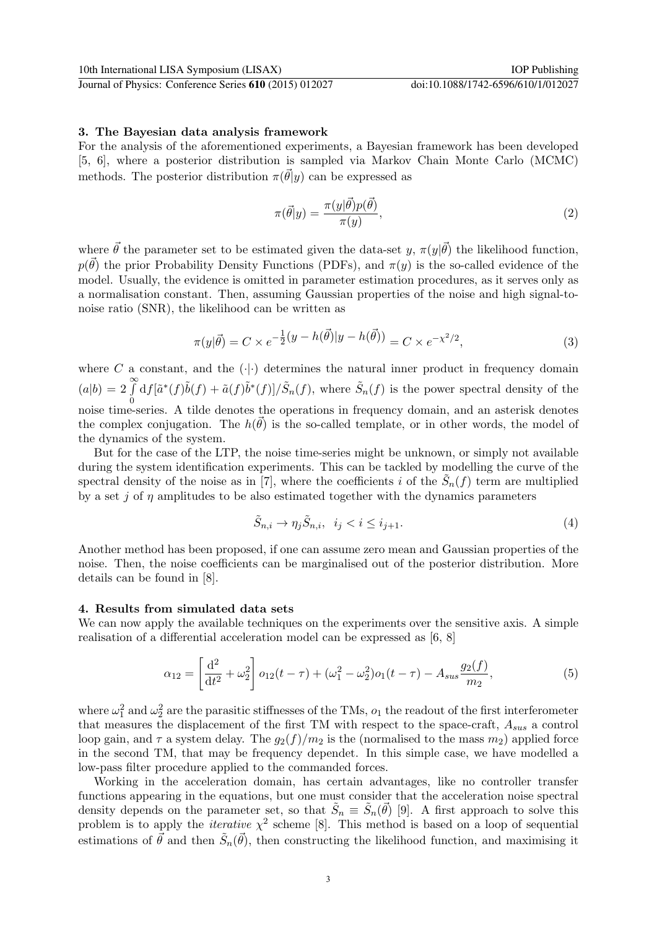Journal of Physics: Conference Series **610** (2015) 012027 doi:10.1088/1742-6596/610/1/012027

#### 3. The Bayesian data analysis framework

For the analysis of the aforementioned experiments, a Bayesian framework has been developed [5, 6], where a posterior distribution is sampled via Markov Chain Monte Carlo (MCMC) methods. The posterior distribution  $\pi(\vec{\theta}|y)$  can be expressed as

$$
\pi(\vec{\theta}|y) = \frac{\pi(y|\vec{\theta})p(\vec{\theta})}{\pi(y)},
$$
\n(2)

where  $\vec{\theta}$  the parameter set to be estimated given the data-set y,  $\pi(y|\vec{\theta})$  the likelihood function,  $p(\vec{\theta})$  the prior Probability Density Functions (PDFs), and  $\pi(y)$  is the so-called evidence of the model. Usually, the evidence is omitted in parameter estimation procedures, as it serves only as a normalisation constant. Then, assuming Gaussian properties of the noise and high signal-tonoise ratio (SNR), the likelihood can be written as

$$
\pi(y|\vec{\theta}) = C \times e^{-\frac{1}{2}(y - h(\vec{\theta})|y - h(\vec{\theta}))} = C \times e^{-\chi^2/2},
$$
\n(3)

where  $C$  a constant, and the  $(\cdot | \cdot)$  determines the natural inner product in frequency domain  $(a|b) = 2 \int_{a}^{\infty}$  $\boldsymbol{0}$  $df[\tilde{a}^*(f)\tilde{b}(f) + \tilde{a}(f)\tilde{b}^*(f)]/\tilde{S}_n(f)$ , where  $\tilde{S}_n(f)$  is the power spectral density of the noise time-series. A tilde denotes the operations in frequency domain, and an asterisk denotes the complex conjugation. The  $h(\vec{\theta})$  is the so-called template, or in other words, the model of the dynamics of the system.

But for the case of the LTP, the noise time-series might be unknown, or simply not available during the system identification experiments. This can be tackled by modelling the curve of the spectral density of the noise as in [7], where the coefficients i of the  $\tilde{S}_n(f)$  term are multiplied by a set j of  $\eta$  amplitudes to be also estimated together with the dynamics parameters

$$
\tilde{S}_{n,i} \to \eta_j \tilde{S}_{n,i}, \quad i_j < i \le i_{j+1}.\tag{4}
$$

Another method has been proposed, if one can assume zero mean and Gaussian properties of the noise. Then, the noise coefficients can be marginalised out of the posterior distribution. More details can be found in [8].

#### 4. Results from simulated data sets

We can now apply the available techniques on the experiments over the sensitive axis. A simple realisation of a differential acceleration model can be expressed as [6, 8]

$$
\alpha_{12} = \left[\frac{d^2}{dt^2} + \omega_2^2\right] o_{12}(t-\tau) + (\omega_1^2 - \omega_2^2) o_1(t-\tau) - A_{sus}\frac{g_2(f)}{m_2},\tag{5}
$$

where  $\omega_1^2$  and  $\omega_2^2$  are the parasitic stiffnesses of the TMs,  $o_1$  the readout of the first interferometer that measures the displacement of the first TM with respect to the space-craft,  $A_{sus}$  a control loop gain, and  $\tau$  a system delay. The  $g_2(f)/m_2$  is the (normalised to the mass  $m_2$ ) applied force in the second TM, that may be frequency dependet. In this simple case, we have modelled a low-pass filter procedure applied to the commanded forces.

Working in the acceleration domain, has certain advantages, like no controller transfer functions appearing in the equations, but one must consider that the acceleration noise spectral density depends on the parameter set, so that  $\tilde{S}_n \equiv \tilde{S}_n(\vec{\theta})$  [9]. A first approach to solve this problem is to apply the *iterative*  $\chi^2$  scheme [8]. This method is based on a loop of sequential estimations of  $\vec{\theta}$  and then  $\tilde{S}_n(\vec{\theta})$ , then constructing the likelihood function, and maximising it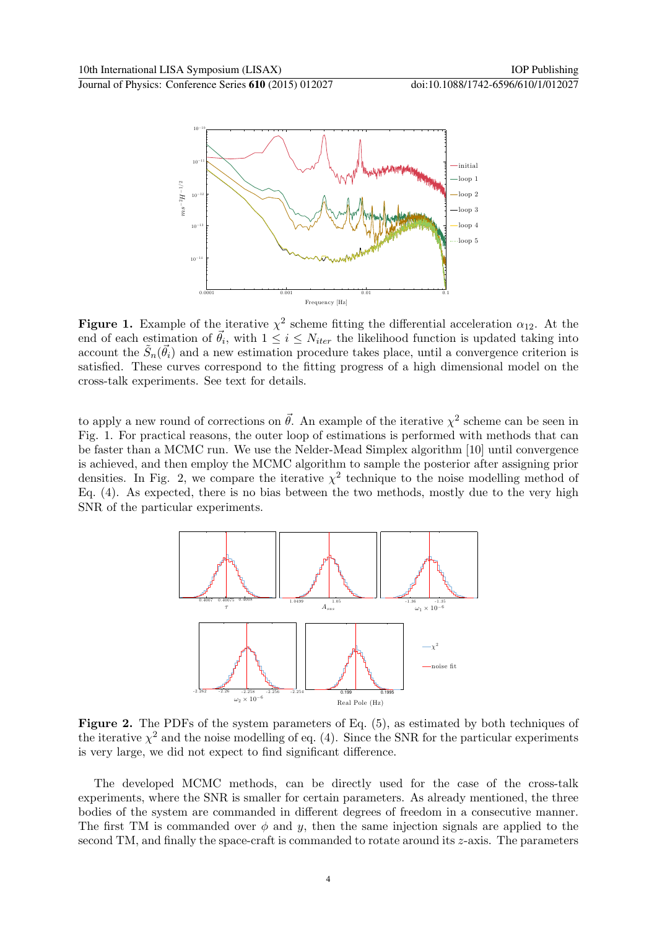Journal of Physics: Conference Series **610** (2015) 012027 doi:10.1088/1742-6596/610/1/012027



**Figure 1.** Example of the iterative  $\chi^2$  scheme fitting the differential acceleration  $\alpha_{12}$ . At the end of each estimation of  $\vec{\theta}_i$ , with  $1 \leq i \leq N_{iter}$  the likelihood function is updated taking into account the  $\tilde{S}_n(\vec{\theta}_i)$  and a new estimation procedure takes place, until a convergence criterion is satisfied. These curves correspond to the fitting progress of a high dimensional model on the cross-talk experiments. See text for details.

to apply a new round of corrections on  $\vec{\theta}$ . An example of the iterative  $\chi^2$  scheme can be seen in Fig. 1. For practical reasons, the outer loop of estimations is performed with methods that can be faster than a MCMC run. We use the Nelder-Mead Simplex algorithm [10] until convergence is achieved, and then employ the MCMC algorithm to sample the posterior after assigning prior densities. In Fig. 2, we compare the iterative  $\chi^2$  technique to the noise modelling method of Eq. (4). As expected, there is no bias between the two methods, mostly due to the very high SNR of the particular experiments.



Figure 2. The PDFs of the system parameters of Eq. (5), as estimated by both techniques of the iterative  $\chi^2$  and the noise modelling of eq. (4). Since the SNR for the particular experiments is very large, we did not expect to find significant difference.

The developed MCMC methods, can be directly used for the case of the cross-talk experiments, where the SNR is smaller for certain parameters. As already mentioned, the three bodies of the system are commanded in different degrees of freedom in a consecutive manner. The first TM is commanded over  $\phi$  and y, then the same injection signals are applied to the second TM, and finally the space-craft is commanded to rotate around its  $z$ -axis. The parameters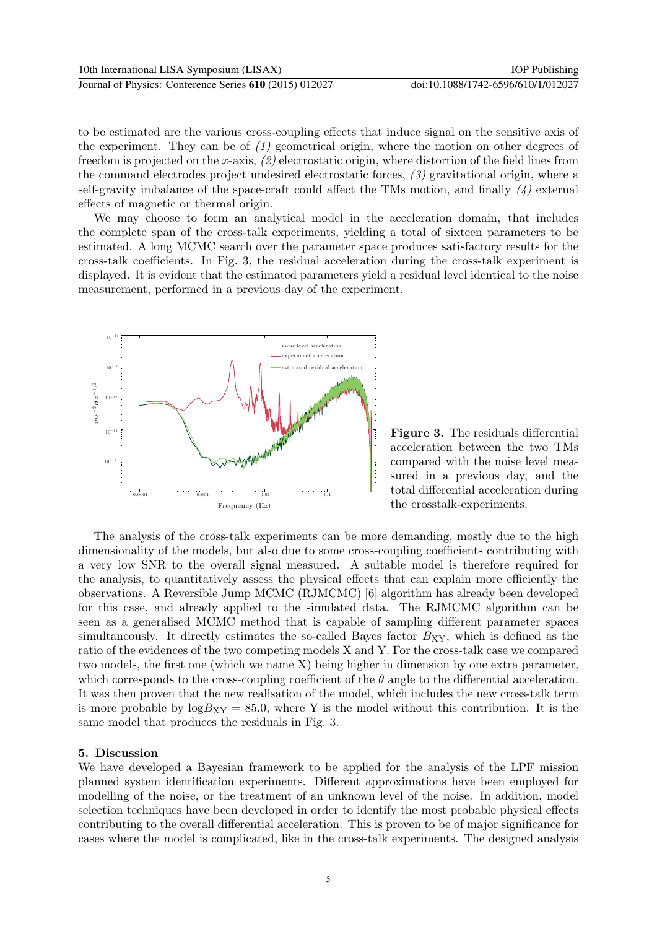to be estimated are the various cross-coupling effects that induce signal on the sensitive axis of the experiment. They can be of  $(1)$  geometrical origin, where the motion on other degrees of freedom is projected on the x-axis,  $(2)$  electrostatic origin, where distortion of the field lines from the command electrodes project undesired electrostatic forces, (3) gravitational origin, where a self-gravity imbalance of the space-craft could affect the TMs motion, and finally  $\langle 4 \rangle$  external effects of magnetic or thermal origin.

We may choose to form an analytical model in the acceleration domain, that includes the complete span of the cross-talk experiments, yielding a total of sixteen parameters to be estimated. A long MCMC search over the parameter space produces satisfactory results for the cross-talk coefficients. In Fig. 3, the residual acceleration during the cross-talk experiment is displayed. It is evident that the estimated parameters yield a residual level identical to the noise measurement, performed in a previous day of the experiment.



Figure 3. The residuals differential acceleration between the two TMs compared with the noise level measured in a previous day, and the total differential acceleration during the crosstalk-experiments.

The analysis of the cross-talk experiments can be more demanding, mostly due to the high dimensionality of the models, but also due to some cross-coupling coefficients contributing with a very low SNR to the overall signal measured. A suitable model is therefore required for the analysis, to quantitatively assess the physical effects that can explain more efficiently the observations. A Reversible Jump MCMC (RJMCMC) [6] algorithm has already been developed for this case, and already applied to the simulated data. The RJMCMC algorithm can be seen as a generalised MCMC method that is capable of sampling different parameter spaces simultaneously. It directly estimates the so-called Bayes factor  $B_{XY}$ , which is defined as the ratio of the evidences of the two competing models X and Y. For the cross-talk case we compared two models, the first one (which we name X) being higher in dimension by one extra parameter, which corresponds to the cross-coupling coefficient of the  $\theta$  angle to the differential acceleration. It was then proven that the new realisation of the model, which includes the new cross-talk term is more probable by  $log B_{XY} = 85.0$ , where Y is the model without this contribution. It is the same model that produces the residuals in Fig. 3.

# 5. Discussion

We have developed a Bayesian framework to be applied for the analysis of the LPF mission planned system identification experiments. Different approximations have been employed for modelling of the noise, or the treatment of an unknown level of the noise. In addition, model selection techniques have been developed in order to identify the most probable physical effects contributing to the overall differential acceleration. This is proven to be of major significance for cases where the model is complicated, like in the cross-talk experiments. The designed analysis